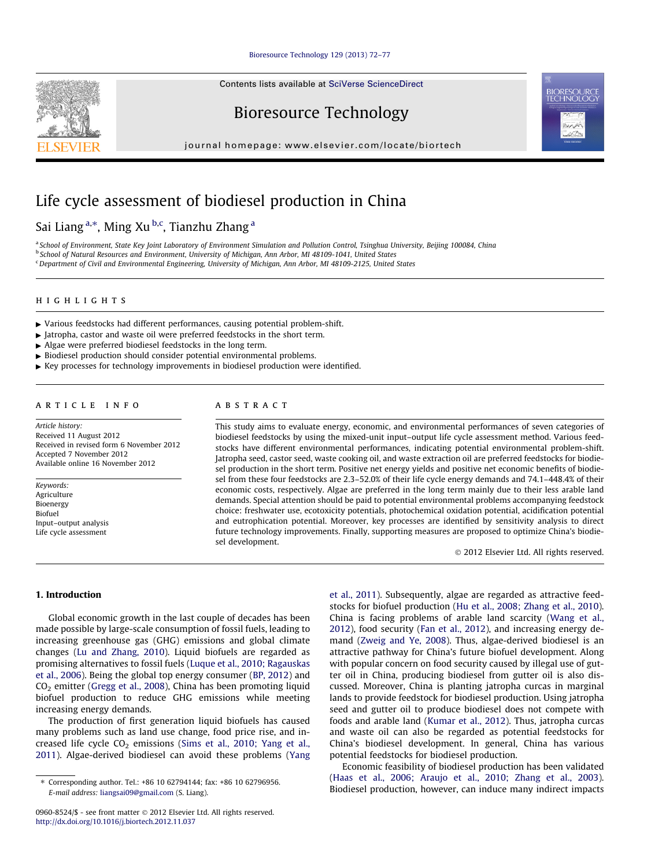#### [Bioresource Technology 129 \(2013\) 72–77](http://dx.doi.org/10.1016/j.biortech.2012.11.037)

Contents lists available at [SciVerse ScienceDirect](http://www.sciencedirect.com/science/journal/09608524)



Bioresource Technology

journal homepage: [www.elsevier.com/locate/biortech](http://www.elsevier.com/locate/biortech)

# Life cycle assessment of biodiesel production in China

# Sai Liang <sup>a,\*</sup>, Ming Xu <sup>b,c</sup>, Tianzhu Zhang <sup>a</sup>

a School of Environment, State Key Joint Laboratory of Environment Simulation and Pollution Control, Tsinghua University, Beijing 100084, China <sup>b</sup> School of Natural Resources and Environment, University of Michigan, Ann Arbor, MI 48109-1041, United States <sup>c</sup> Department of Civil and Environmental Engineering, University of Michigan, Ann Arbor, MI 48109-2125, United States

#### highlights

- $\triangleright$  Various feedstocks had different performances, causing potential problem-shift.
- $\blacktriangleright$  Jatropha, castor and waste oil were preferred feedstocks in the short term.
- $\blacktriangleright$  Algae were preferred biodiesel feedstocks in the long term.
- $\blacktriangleright$  Biodiesel production should consider potential environmental problems.
- Key processes for technology improvements in biodiesel production were identified.

#### article info

Article history: Received 11 August 2012 Received in revised form 6 November 2012 Accepted 7 November 2012 Available online 16 November 2012

Keywords: Agriculture Bioenergy Biofuel Input–output analysis Life cycle assessment

## ABSTRACT

This study aims to evaluate energy, economic, and environmental performances of seven categories of biodiesel feedstocks by using the mixed-unit input–output life cycle assessment method. Various feedstocks have different environmental performances, indicating potential environmental problem-shift. Jatropha seed, castor seed, waste cooking oil, and waste extraction oil are preferred feedstocks for biodiesel production in the short term. Positive net energy yields and positive net economic benefits of biodiesel from these four feedstocks are 2.3–52.0% of their life cycle energy demands and 74.1–448.4% of their economic costs, respectively. Algae are preferred in the long term mainly due to their less arable land demands. Special attention should be paid to potential environmental problems accompanying feedstock choice: freshwater use, ecotoxicity potentials, photochemical oxidation potential, acidification potential and eutrophication potential. Moreover, key processes are identified by sensitivity analysis to direct future technology improvements. Finally, supporting measures are proposed to optimize China's biodiesel development.

- 2012 Elsevier Ltd. All rights reserved.

1. Introduction

Global economic growth in the last couple of decades has been made possible by large-scale consumption of fossil fuels, leading to increasing greenhouse gas (GHG) emissions and global climate changes [\(Lu and Zhang, 2010](#page-5-0)). Liquid biofuels are regarded as promising alternatives to fossil fuels ([Luque et al., 2010; Ragauskas](#page-5-0) [et al., 2006](#page-5-0)). Being the global top energy consumer [\(BP, 2012](#page-5-0)) and  $CO<sub>2</sub>$  emitter ([Gregg et al., 2008\)](#page-5-0), China has been promoting liquid biofuel production to reduce GHG emissions while meeting increasing energy demands.

The production of first generation liquid biofuels has caused many problems such as land use change, food price rise, and increased life cycle  $CO<sub>2</sub>$  emissions [\(Sims et al., 2010; Yang et al.,](#page-5-0) [2011\)](#page-5-0). Algae-derived biodiesel can avoid these problems [\(Yang](#page-5-0) [et al., 2011\)](#page-5-0). Subsequently, algae are regarded as attractive feedstocks for biofuel production ([Hu et al., 2008; Zhang et al., 2010\)](#page-5-0). China is facing problems of arable land scarcity ([Wang et al.,](#page-5-0) [2012\)](#page-5-0), food security ([Fan et al., 2012\)](#page-5-0), and increasing energy demand [\(Zweig and Ye, 2008](#page-5-0)). Thus, algae-derived biodiesel is an attractive pathway for China's future biofuel development. Along with popular concern on food security caused by illegal use of gutter oil in China, producing biodiesel from gutter oil is also discussed. Moreover, China is planting jatropha curcas in marginal lands to provide feedstock for biodiesel production. Using jatropha seed and gutter oil to produce biodiesel does not compete with foods and arable land [\(Kumar et al., 2012\)](#page-5-0). Thus, jatropha curcas and waste oil can also be regarded as potential feedstocks for China's biodiesel development. In general, China has various potential feedstocks for biodiesel production.

Economic feasibility of biodiesel production has been validated ([Haas et al., 2006; Araujo et al., 2010; Zhang et al., 2003\)](#page-5-0). Biodiesel production, however, can induce many indirect impacts

<sup>⇑</sup> Corresponding author. Tel.: +86 10 62794144; fax: +86 10 62796956. E-mail address: [liangsai09@gmail.com](mailto:liangsai09@gmail.com) (S. Liang).

<sup>0960-8524/\$ -</sup> see front matter © 2012 Elsevier Ltd. All rights reserved. <http://dx.doi.org/10.1016/j.biortech.2012.11.037>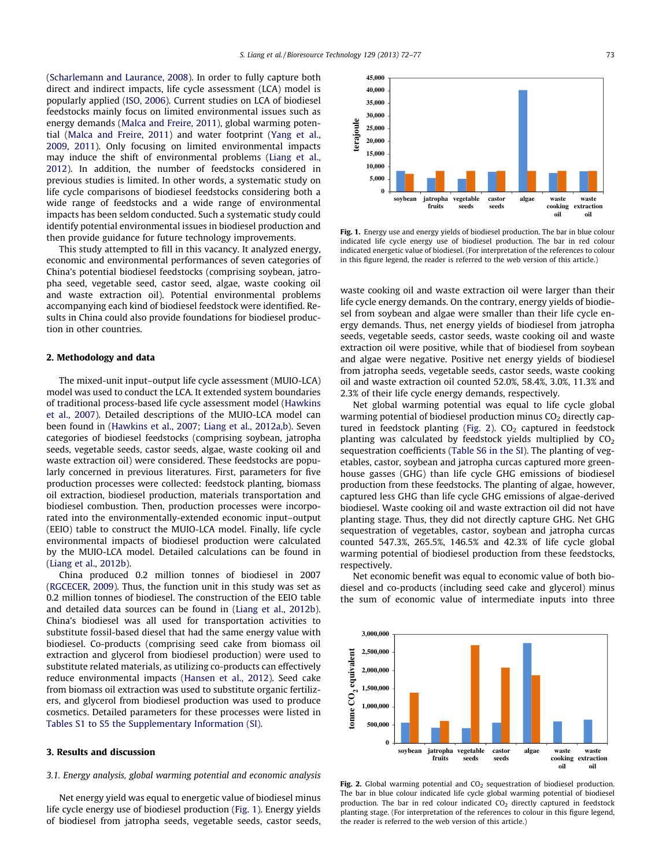([Scharlemann and Laurance, 2008](#page-5-0)). In order to fully capture both direct and indirect impacts, life cycle assessment (LCA) model is popularly applied [\(ISO, 2006](#page-5-0)). Current studies on LCA of biodiesel feedstocks mainly focus on limited environmental issues such as energy demands [\(Malca and Freire, 2011\)](#page-5-0), global warming potential [\(Malca and Freire, 2011\)](#page-5-0) and water footprint [\(Yang et al.,](#page-5-0) [2009, 2011](#page-5-0)). Only focusing on limited environmental impacts may induce the shift of environmental problems [\(Liang et al.,](#page-5-0) [2012\)](#page-5-0). In addition, the number of feedstocks considered in previous studies is limited. In other words, a systematic study on life cycle comparisons of biodiesel feedstocks considering both a wide range of feedstocks and a wide range of environmental impacts has been seldom conducted. Such a systematic study could identify potential environmental issues in biodiesel production and then provide guidance for future technology improvements.

This study attempted to fill in this vacancy. It analyzed energy, economic and environmental performances of seven categories of China's potential biodiesel feedstocks (comprising soybean, jatropha seed, vegetable seed, castor seed, algae, waste cooking oil and waste extraction oil). Potential environmental problems accompanying each kind of biodiesel feedstock were identified. Results in China could also provide foundations for biodiesel production in other countries.

#### 2. Methodology and data

The mixed-unit input–output life cycle assessment (MUIO-LCA) model was used to conduct the LCA. It extended system boundaries of traditional process-based life cycle assessment model ([Hawkins](#page-5-0) [et al., 2007](#page-5-0)). Detailed descriptions of the MUIO-LCA model can been found in [\(Hawkins et al., 2007; Liang et al., 2012a,b\)](#page-5-0). Seven categories of biodiesel feedstocks (comprising soybean, jatropha seeds, vegetable seeds, castor seeds, algae, waste cooking oil and waste extraction oil) were considered. These feedstocks are popularly concerned in previous literatures. First, parameters for five production processes were collected: feedstock planting, biomass oil extraction, biodiesel production, materials transportation and biodiesel combustion. Then, production processes were incorporated into the environmentally-extended economic input–output (EEIO) table to construct the MUIO-LCA model. Finally, life cycle environmental impacts of biodiesel production were calculated by the MUIO-LCA model. Detailed calculations can be found in ([Liang et al., 2012b](#page-5-0)).

China produced 0.2 million tonnes of biodiesel in 2007 ([RGCECER, 2009](#page-5-0)). Thus, the function unit in this study was set as 0.2 million tonnes of biodiesel. The construction of the EEIO table and detailed data sources can be found in ([Liang et al., 2012b\)](#page-5-0). China's biodiesel was all used for transportation activities to substitute fossil-based diesel that had the same energy value with biodiesel. Co-products (comprising seed cake from biomass oil extraction and glycerol from biodiesel production) were used to substitute related materials, as utilizing co-products can effectively reduce environmental impacts ([Hansen et al., 2012\)](#page-5-0). Seed cake from biomass oil extraction was used to substitute organic fertilizers, and glycerol from biodiesel production was used to produce cosmetics. Detailed parameters for these processes were listed in Tables S1 to S5 the Supplementary Information (SI).

#### 3. Results and discussion

#### 3.1. Energy analysis, global warming potential and economic analysis

Net energy yield was equal to energetic value of biodiesel minus life cycle energy use of biodiesel production (Fig. 1). Energy yields of biodiesel from jatropha seeds, vegetable seeds, castor seeds,



Fig. 1. Energy use and energy yields of biodiesel production. The bar in blue colour indicated life cycle energy use of biodiesel production. The bar in red colour indicated energetic value of biodiesel. (For interpretation of the references to colour in this figure legend, the reader is referred to the web version of this article.)

waste cooking oil and waste extraction oil were larger than their life cycle energy demands. On the contrary, energy yields of biodiesel from soybean and algae were smaller than their life cycle energy demands. Thus, net energy yields of biodiesel from jatropha seeds, vegetable seeds, castor seeds, waste cooking oil and waste extraction oil were positive, while that of biodiesel from soybean and algae were negative. Positive net energy yields of biodiesel from jatropha seeds, vegetable seeds, castor seeds, waste cooking oil and waste extraction oil counted 52.0%, 58.4%, 3.0%, 11.3% and 2.3% of their life cycle energy demands, respectively.

Net global warming potential was equal to life cycle global warming potential of biodiesel production minus  $CO<sub>2</sub>$  directly captured in feedstock planting (Fig. 2).  $CO<sub>2</sub>$  captured in feedstock planting was calculated by feedstock yields multiplied by  $CO<sub>2</sub>$ sequestration coefficients (Table S6 in the SI). The planting of vegetables, castor, soybean and jatropha curcas captured more greenhouse gasses (GHG) than life cycle GHG emissions of biodiesel production from these feedstocks. The planting of algae, however, captured less GHG than life cycle GHG emissions of algae-derived biodiesel. Waste cooking oil and waste extraction oil did not have planting stage. Thus, they did not directly capture GHG. Net GHG sequestration of vegetables, castor, soybean and jatropha curcas counted 547.3%, 265.5%, 146.5% and 42.3% of life cycle global warming potential of biodiesel production from these feedstocks, respectively.

Net economic benefit was equal to economic value of both biodiesel and co-products (including seed cake and glycerol) minus the sum of economic value of intermediate inputs into three



Fig. 2. Global warming potential and  $CO<sub>2</sub>$  sequestration of biodiesel production. The bar in blue colour indicated life cycle global warming potential of biodiesel production. The bar in red colour indicated  $CO<sub>2</sub>$  directly captured in feedstock planting stage. (For interpretation of the references to colour in this figure legend, the reader is referred to the web version of this article.)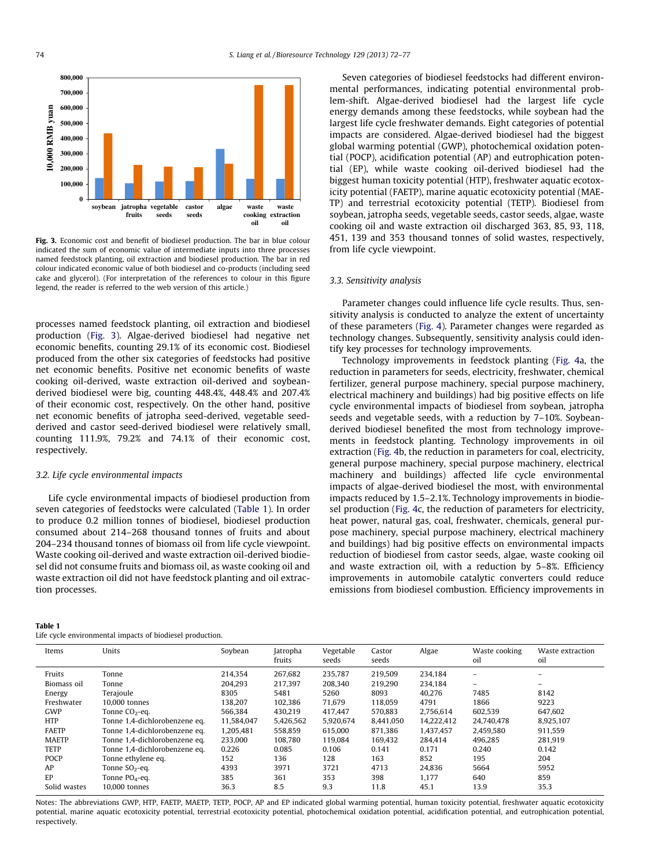<span id="page-2-0"></span>

Fig. 3. Economic cost and benefit of biodiesel production. The bar in blue colour indicated the sum of economic value of intermediate inputs into three processes named feedstock planting, oil extraction and biodiesel production. The bar in red colour indicated economic value of both biodiesel and co-products (including seed cake and glycerol). (For interpretation of the references to colour in this figure legend, the reader is referred to the web version of this article.)

processes named feedstock planting, oil extraction and biodiesel production (Fig. 3). Algae-derived biodiesel had negative net economic benefits, counting 29.1% of its economic cost. Biodiesel produced from the other six categories of feedstocks had positive net economic benefits. Positive net economic benefits of waste cooking oil-derived, waste extraction oil-derived and soybeanderived biodiesel were big, counting 448.4%, 448.4% and 207.4% of their economic cost, respectively. On the other hand, positive net economic benefits of jatropha seed-derived, vegetable seedderived and castor seed-derived biodiesel were relatively small, counting 111.9%, 79.2% and 74.1% of their economic cost, respectively.

#### 3.2. Life cycle environmental impacts

Life cycle environmental impacts of biodiesel production from seven categories of feedstocks were calculated (Table 1). In order to produce 0.2 million tonnes of biodiesel, biodiesel production consumed about 214–268 thousand tonnes of fruits and about 204–234 thousand tonnes of biomass oil from life cycle viewpoint. Waste cooking oil-derived and waste extraction oil-derived biodiesel did not consume fruits and biomass oil, as waste cooking oil and waste extraction oil did not have feedstock planting and oil extraction processes.

#### Table 1

|  | Life cycle environmental impacts of biodiesel production. |  |  |
|--|-----------------------------------------------------------|--|--|
|  |                                                           |  |  |

Seven categories of biodiesel feedstocks had different environmental performances, indicating potential environmental problem-shift. Algae-derived biodiesel had the largest life cycle energy demands among these feedstocks, while soybean had the largest life cycle freshwater demands. Eight categories of potential impacts are considered. Algae-derived biodiesel had the biggest global warming potential (GWP), photochemical oxidation potential (POCP), acidification potential (AP) and eutrophication potential (EP), while waste cooking oil-derived biodiesel had the biggest human toxicity potential (HTP), freshwater aquatic ecotoxicity potential (FAETP), marine aquatic ecotoxicity potential (MAE-TP) and terrestrial ecotoxicity potential (TETP). Biodiesel from soybean, jatropha seeds, vegetable seeds, castor seeds, algae, waste cooking oil and waste extraction oil discharged 363, 85, 93, 118, 451, 139 and 353 thousand tonnes of solid wastes, respectively, from life cycle viewpoint.

#### 3.3. Sensitivity analysis

Parameter changes could influence life cycle results. Thus, sensitivity analysis is conducted to analyze the extent of uncertainty of these parameters ([Fig. 4](#page-3-0)). Parameter changes were regarded as technology changes. Subsequently, sensitivity analysis could identify key processes for technology improvements.

Technology improvements in feedstock planting ([Fig. 4](#page-3-0)a, the reduction in parameters for seeds, electricity, freshwater, chemical fertilizer, general purpose machinery, special purpose machinery, electrical machinery and buildings) had big positive effects on life cycle environmental impacts of biodiesel from soybean, jatropha seeds and vegetable seeds, with a reduction by 7–10%. Soybeanderived biodiesel benefited the most from technology improvements in feedstock planting. Technology improvements in oil extraction [\(Fig. 4](#page-3-0)b, the reduction in parameters for coal, electricity, general purpose machinery, special purpose machinery, electrical machinery and buildings) affected life cycle environmental impacts of algae-derived biodiesel the most, with environmental impacts reduced by 1.5–2.1%. Technology improvements in biodiesel production ([Fig. 4](#page-3-0)c, the reduction of parameters for electricity, heat power, natural gas, coal, freshwater, chemicals, general purpose machinery, special purpose machinery, electrical machinery and buildings) had big positive effects on environmental impacts reduction of biodiesel from castor seeds, algae, waste cooking oil and waste extraction oil, with a reduction by 5–8%. Efficiency improvements in automobile catalytic converters could reduce emissions from biodiesel combustion. Efficiency improvements in

| Items        | Units                         | Soybean    | Jatropha<br>fruits | Vegetable<br>seeds | Castor<br>seeds | Algae      | Waste cooking<br>oil | Waste extraction<br>oil |
|--------------|-------------------------------|------------|--------------------|--------------------|-----------------|------------|----------------------|-------------------------|
| Fruits       | Tonne                         | 214.354    | 267.682            | 235.787            | 219.509         | 234.184    |                      | $\equiv$                |
| Biomass oil  | Tonne                         | 204.293    | 217.397            | 208.340            | 219.290         | 234,184    | $-$                  | $\equiv$                |
| Energy       | Terajoule                     | 8305       | 5481               | 5260               | 8093            | 40.276     | 7485                 | 8142                    |
| Freshwater   | 10,000 tonnes                 | 138,207    | 102,386            | 71,679             | 118.059         | 4791       | 1866                 | 9223                    |
| GWP          | Tonne $CO2$ -eq.              | 566.384    | 430.219            | 417.447            | 570.883         | 2.756.614  | 602.539              | 647.602                 |
| <b>HTP</b>   | Tonne 1,4-dichlorobenzene eq. | 11.584.047 | 5,426,562          | 5,920,674          | 8.441.050       | 14.222.412 | 24.740.478           | 8,925,107               |
| <b>FAETP</b> | Tonne 1,4-dichlorobenzene eq. | 1,205,481  | 558,859            | 615.000            | 871.386         | 1,437,457  | 2,459,580            | 911.559                 |
| <b>MAETP</b> | Tonne 1,4-dichlorobenzene eq. | 233,000    | 108.780            | 119.084            | 169.432         | 284.414    | 496.285              | 281.919                 |
| <b>TETP</b>  | Tonne 1,4-dichlorobenzene eq. | 0.226      | 0.085              | 0.106              | 0.141           | 0.171      | 0.240                | 0.142                   |
| <b>POCP</b>  | Tonne ethylene eq.            | 152        | 136                | 128                | 163             | 852        | 195                  | 204                     |
| AP           | Tonne $SO2$ -eq.              | 4393       | 3971               | 3721               | 4713            | 24.836     | 5664                 | 5952                    |
| EP           | Tonne PO <sub>4</sub> -eq.    | 385        | 361                | 353                | 398             | 1.177      | 640                  | 859                     |
| Solid wastes | 10,000 tonnes                 | 36.3       | 8.5                | 9.3                | 11.8            | 45.1       | 13.9                 | 35.3                    |

Notes: The abbreviations GWP, HTP, FAETP, MAETP, TETP, POCP, AP and EP indicated global warming potential, human toxicity potential, freshwater aquatic ecotoxicity potential, marine aquatic ecotoxicity potential, terrestrial ecotoxicity potential, photochemical oxidation potential, acidification potential, and eutrophication potential, respectively.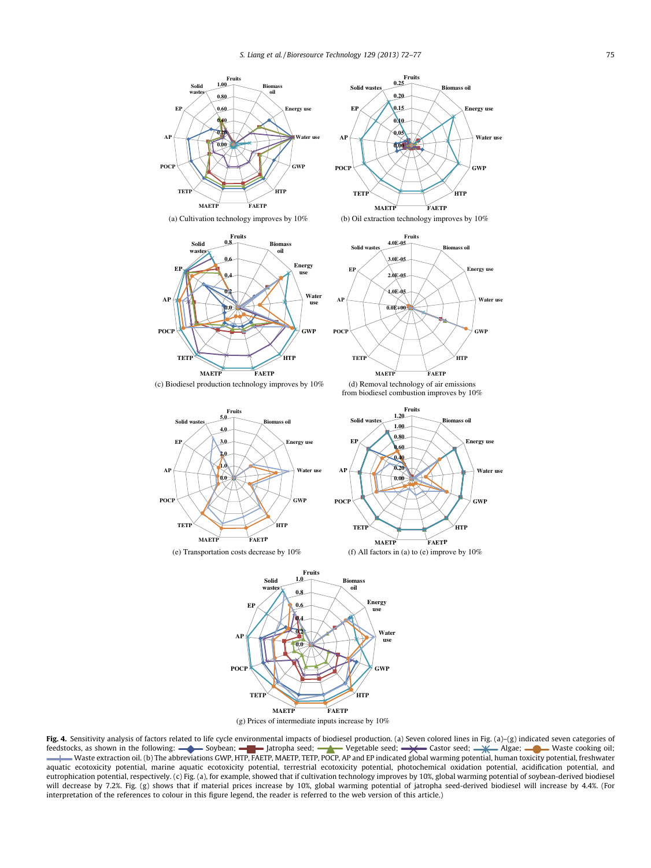<span id="page-3-0"></span>





**Fruits**

(a) Cultivation technology improves by 10% (b) Oil extraction technology improves by 10%





**MAETP FAETP**

**TETP**

**HTP**

(c) Biodiesel production technology improves by 10% (d) Removal technology of air emissions from biodiesel combustion improves by 10%



(e) Transportation costs decrease by 10% (f) All factors in (a) to (e) improve by 10%



Fig. 4. Sensitivity analysis of factors related to life cycle environmental impacts of biodiesel production. (a) Seven colored lines in Fig. (a)-(g) indicated seven categories of feedstocks, as shown in the following: Soybean;  $\blacksquare$  Jatropha seed;  $\blacktriangle$  Vegetable seed;  $\blacktriangle$  Castor seed;  $\blacktriangle$  Algae;  $\blacksquare$  Waste cooking oil; Waste extraction oil. (b) The abbreviations GWP, HTP, FAETP, MAETP, TETP, POCP, AP and EP indicated global warming potential, human toxicity potential, freshwater = aquatic ecotoxicity potential, marine aquatic ecotoxicity potential, terrestrial ecotoxicity potential, photochemical oxidation potential, acidification potential, and eutrophication potential, respectively. (c) Fig. (a), for example, showed that if cultivation technology improves by 10%, global warming potential of soybean-derived biodiesel will decrease by 7.2%. Fig. (g) shows that if material prices increase by 10%, global warming potential of jatropha seed-derived biodiesel will increase by 4.4%. (For interpretation of the references to colour in this figure legend, the reader is referred to the web version of this article.)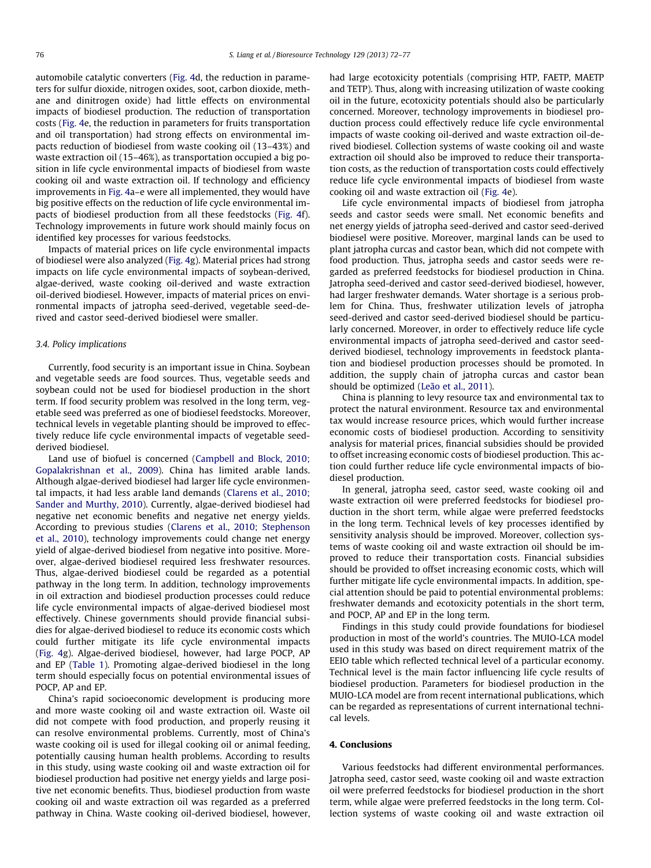automobile catalytic converters [\(Fig. 4d](#page-3-0), the reduction in parameters for sulfur dioxide, nitrogen oxides, soot, carbon dioxide, methane and dinitrogen oxide) had little effects on environmental impacts of biodiesel production. The reduction of transportation costs [\(Fig. 4](#page-3-0)e, the reduction in parameters for fruits transportation and oil transportation) had strong effects on environmental impacts reduction of biodiesel from waste cooking oil (13–43%) and waste extraction oil (15–46%), as transportation occupied a big position in life cycle environmental impacts of biodiesel from waste cooking oil and waste extraction oil. If technology and efficiency improvements in [Fig. 4](#page-3-0)a–e were all implemented, they would have big positive effects on the reduction of life cycle environmental impacts of biodiesel production from all these feedstocks ([Fig. 4](#page-3-0)f). Technology improvements in future work should mainly focus on identified key processes for various feedstocks.

Impacts of material prices on life cycle environmental impacts of biodiesel were also analyzed [\(Fig. 4](#page-3-0)g). Material prices had strong impacts on life cycle environmental impacts of soybean-derived, algae-derived, waste cooking oil-derived and waste extraction oil-derived biodiesel. However, impacts of material prices on environmental impacts of jatropha seed-derived, vegetable seed-derived and castor seed-derived biodiesel were smaller.

#### 3.4. Policy implications

Currently, food security is an important issue in China. Soybean and vegetable seeds are food sources. Thus, vegetable seeds and soybean could not be used for biodiesel production in the short term. If food security problem was resolved in the long term, vegetable seed was preferred as one of biodiesel feedstocks. Moreover, technical levels in vegetable planting should be improved to effectively reduce life cycle environmental impacts of vegetable seedderived biodiesel.

Land use of biofuel is concerned [\(Campbell and Block, 2010;](#page-5-0) [Gopalakrishnan et al., 2009\)](#page-5-0). China has limited arable lands. Although algae-derived biodiesel had larger life cycle environmental impacts, it had less arable land demands ([Clarens et al., 2010;](#page-5-0) [Sander and Murthy, 2010](#page-5-0)). Currently, algae-derived biodiesel had negative net economic benefits and negative net energy yields. According to previous studies ([Clarens et al., 2010; Stephenson](#page-5-0) [et al., 2010](#page-5-0)), technology improvements could change net energy yield of algae-derived biodiesel from negative into positive. Moreover, algae-derived biodiesel required less freshwater resources. Thus, algae-derived biodiesel could be regarded as a potential pathway in the long term. In addition, technology improvements in oil extraction and biodiesel production processes could reduce life cycle environmental impacts of algae-derived biodiesel most effectively. Chinese governments should provide financial subsidies for algae-derived biodiesel to reduce its economic costs which could further mitigate its life cycle environmental impacts ([Fig. 4g](#page-3-0)). Algae-derived biodiesel, however, had large POCP, AP and EP ([Table 1](#page-2-0)). Promoting algae-derived biodiesel in the long term should especially focus on potential environmental issues of POCP, AP and EP.

China's rapid socioeconomic development is producing more and more waste cooking oil and waste extraction oil. Waste oil did not compete with food production, and properly reusing it can resolve environmental problems. Currently, most of China's waste cooking oil is used for illegal cooking oil or animal feeding, potentially causing human health problems. According to results in this study, using waste cooking oil and waste extraction oil for biodiesel production had positive net energy yields and large positive net economic benefits. Thus, biodiesel production from waste cooking oil and waste extraction oil was regarded as a preferred pathway in China. Waste cooking oil-derived biodiesel, however, had large ecotoxicity potentials (comprising HTP, FAETP, MAETP and TETP). Thus, along with increasing utilization of waste cooking oil in the future, ecotoxicity potentials should also be particularly concerned. Moreover, technology improvements in biodiesel production process could effectively reduce life cycle environmental impacts of waste cooking oil-derived and waste extraction oil-derived biodiesel. Collection systems of waste cooking oil and waste extraction oil should also be improved to reduce their transportation costs, as the reduction of transportation costs could effectively reduce life cycle environmental impacts of biodiesel from waste cooking oil and waste extraction oil ([Fig. 4](#page-3-0)e).

Life cycle environmental impacts of biodiesel from jatropha seeds and castor seeds were small. Net economic benefits and net energy yields of jatropha seed-derived and castor seed-derived biodiesel were positive. Moreover, marginal lands can be used to plant jatropha curcas and castor bean, which did not compete with food production. Thus, jatropha seeds and castor seeds were regarded as preferred feedstocks for biodiesel production in China. Jatropha seed-derived and castor seed-derived biodiesel, however, had larger freshwater demands. Water shortage is a serious problem for China. Thus, freshwater utilization levels of jatropha seed-derived and castor seed-derived biodiesel should be particularly concerned. Moreover, in order to effectively reduce life cycle environmental impacts of jatropha seed-derived and castor seedderived biodiesel, technology improvements in feedstock plantation and biodiesel production processes should be promoted. In addition, the supply chain of jatropha curcas and castor bean should be optimized [\(Leão et al., 2011](#page-5-0)).

China is planning to levy resource tax and environmental tax to protect the natural environment. Resource tax and environmental tax would increase resource prices, which would further increase economic costs of biodiesel production. According to sensitivity analysis for material prices, financial subsidies should be provided to offset increasing economic costs of biodiesel production. This action could further reduce life cycle environmental impacts of biodiesel production.

In general, jatropha seed, castor seed, waste cooking oil and waste extraction oil were preferred feedstocks for biodiesel production in the short term, while algae were preferred feedstocks in the long term. Technical levels of key processes identified by sensitivity analysis should be improved. Moreover, collection systems of waste cooking oil and waste extraction oil should be improved to reduce their transportation costs. Financial subsidies should be provided to offset increasing economic costs, which will further mitigate life cycle environmental impacts. In addition, special attention should be paid to potential environmental problems: freshwater demands and ecotoxicity potentials in the short term, and POCP, AP and EP in the long term.

Findings in this study could provide foundations for biodiesel production in most of the world's countries. The MUIO-LCA model used in this study was based on direct requirement matrix of the EEIO table which reflected technical level of a particular economy. Technical level is the main factor influencing life cycle results of biodiesel production. Parameters for biodiesel production in the MUIO-LCA model are from recent international publications, which can be regarded as representations of current international technical levels.

## 4. Conclusions

Various feedstocks had different environmental performances. Jatropha seed, castor seed, waste cooking oil and waste extraction oil were preferred feedstocks for biodiesel production in the short term, while algae were preferred feedstocks in the long term. Collection systems of waste cooking oil and waste extraction oil